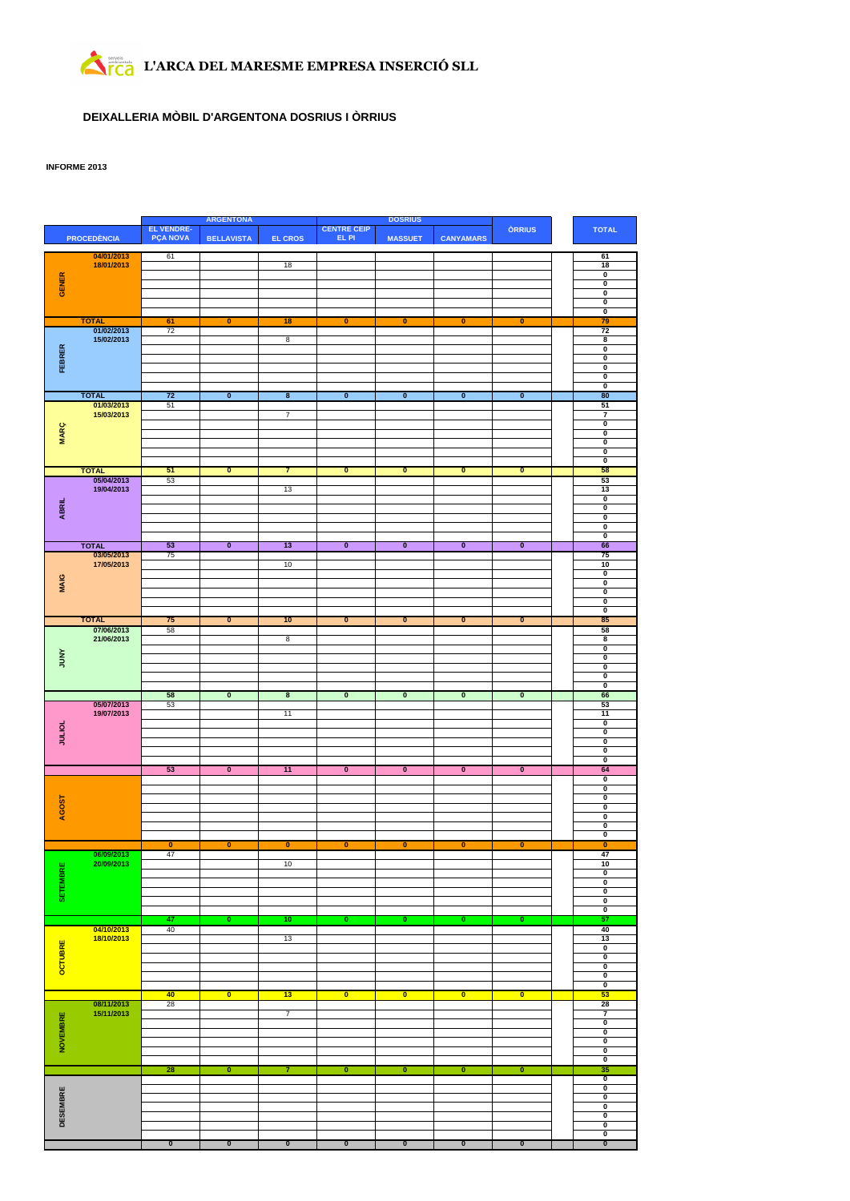# **L'ARCA DEL MARESME EMPRESA INSERCIÓ SLL**

### **DEIXALLERIA MÒBIL D'ARGENTONA DOSRIUS I ÒRRIUS**

### **INFORME 2013**

|                 |                            |                                      | <b>ARGENTONA</b>        |                         |                             | <b>DOSRIUS</b>          |                         |                         |                                                    |
|-----------------|----------------------------|--------------------------------------|-------------------------|-------------------------|-----------------------------|-------------------------|-------------------------|-------------------------|----------------------------------------------------|
|                 | <b>PROCEDÈNCIA</b>         | <b>EL VENDRE-</b><br><b>PÇA NOVA</b> | <b>BELLAVISTA</b>       | <b>EL CROS</b>          | <b>CENTRE CEIP</b><br>EL PI | <b>MASSUET</b>          | <b>CANYAMARS</b>        | <b>ORRIUS</b>           | <b>TOTAL</b>                                       |
|                 |                            |                                      |                         |                         |                             |                         |                         |                         |                                                    |
|                 | 04/01/2013                 | 61                                   |                         |                         |                             |                         |                         |                         | 61                                                 |
|                 | 18/01/2013                 |                                      |                         | 18                      |                             |                         |                         |                         | 18<br>$\overline{\mathfrak{o}}$                    |
|                 |                            |                                      |                         |                         |                             |                         |                         |                         | $\overline{\mathbf{0}}$                            |
| GENER           |                            |                                      |                         |                         |                             |                         |                         |                         | O                                                  |
|                 |                            |                                      |                         |                         |                             |                         |                         |                         | $\overline{\mathbf{0}}$                            |
|                 |                            |                                      |                         |                         |                             |                         |                         |                         | $\overline{\mathfrak{o}}$                          |
|                 | <b>TOTAL</b><br>01/02/2013 | 61<br>72                             | 0                       | 18                      | $\bullet$                   | 0                       | $\bullet$               | 0                       | 79<br>72                                           |
|                 | 15/02/2013                 |                                      |                         | $\overline{8}$          |                             |                         |                         |                         | $\overline{\mathbf{8}}$                            |
| FEBRER          |                            |                                      |                         |                         |                             |                         |                         |                         | 0                                                  |
|                 |                            |                                      |                         |                         |                             |                         |                         |                         | $\overline{\mathbf{0}}$                            |
|                 |                            |                                      |                         |                         |                             |                         |                         |                         | 0                                                  |
|                 |                            |                                      |                         |                         |                             |                         |                         |                         | 0<br>$\overline{\mathbf{0}}$                       |
|                 | <b>TOTAL</b>               | 72                                   | $\overline{\mathbf{0}}$ | $\overline{\mathbf{8}}$ | $\overline{\mathbf{0}}$     | $\overline{\mathbf{0}}$ | $\overline{\mathbf{0}}$ | $\overline{\mathbf{0}}$ | 80                                                 |
|                 | 01/03/2013                 | 51                                   |                         |                         |                             |                         |                         |                         | 51                                                 |
|                 | 15/03/2013                 |                                      |                         | 7                       |                             |                         |                         |                         | 7                                                  |
|                 |                            |                                      |                         |                         |                             |                         |                         |                         | 0                                                  |
| <b>MARÇ</b>     |                            |                                      |                         |                         |                             |                         |                         |                         | $\overline{\mathbf{0}}$                            |
|                 |                            |                                      |                         |                         |                             |                         |                         |                         | $\overline{\mathbf{0}}$<br>$\pmb{0}$               |
|                 |                            |                                      |                         |                         |                             |                         |                         |                         | O                                                  |
|                 | <b>TOTAL</b>               | 51                                   | $\overline{\mathbf{0}}$ | 7                       | $\overline{\mathbf{0}}$     | $\overline{\mathbf{0}}$ | $\overline{\mathbf{0}}$ | $\overline{\mathbf{0}}$ | 58                                                 |
|                 | 05/04/2013                 | 53                                   |                         |                         |                             |                         |                         |                         | 53                                                 |
|                 | 19/04/2013                 |                                      |                         | 13                      |                             |                         |                         |                         | 13                                                 |
|                 |                            |                                      |                         |                         |                             |                         |                         |                         | 0<br>0                                             |
| <b>ABRIL</b>    |                            |                                      |                         |                         |                             |                         |                         |                         | $\overline{\mathbf{0}}$                            |
|                 |                            |                                      |                         |                         |                             |                         |                         |                         | $\pmb{0}$                                          |
|                 |                            |                                      |                         |                         |                             |                         |                         |                         | $\overline{\mathbf{0}}$                            |
|                 | <b>TOTAL</b>               | 53                                   | $\overline{\mathbf{0}}$ | 13                      | $\overline{\mathbf{0}}$     | $\overline{\mathbf{0}}$ | $\overline{\mathbf{0}}$ | $\overline{\mathbf{0}}$ | 66                                                 |
|                 | 03/05/2013<br>17/05/2013   | 75                                   |                         |                         |                             |                         |                         |                         | 75                                                 |
|                 |                            |                                      |                         | 10                      |                             |                         |                         |                         | 10<br>0                                            |
| <b>MAIG</b>     |                            |                                      |                         |                         |                             |                         |                         |                         | $\overline{\mathbf{0}}$                            |
|                 |                            |                                      |                         |                         |                             |                         |                         |                         | $\overline{\mathfrak{o}}$                          |
|                 |                            |                                      |                         |                         |                             |                         |                         |                         | $\overline{\mathbf{0}}$                            |
|                 |                            |                                      |                         |                         |                             |                         |                         |                         | $\overline{\mathbf{0}}$                            |
|                 | <b>TOTAL</b>               | 75                                   | $\overline{\mathbf{0}}$ | 10                      | $\overline{\mathbf{0}}$     | $\overline{\mathbf{0}}$ | $\bullet$               | $\overline{\mathbf{0}}$ | 85                                                 |
|                 | 07/06/2013<br>21/06/2013   | 58                                   |                         | 8                       |                             |                         |                         |                         | 58<br>$\overline{\mathbf{8}}$                      |
|                 |                            |                                      |                         |                         |                             |                         |                         |                         | 0                                                  |
| <b>AND</b>      |                            |                                      |                         |                         |                             |                         |                         |                         | 0                                                  |
|                 |                            |                                      |                         |                         |                             |                         |                         |                         | 0                                                  |
|                 |                            |                                      |                         |                         |                             |                         |                         |                         | $\pmb{0}$                                          |
|                 |                            | 58                                   | $\overline{\mathbf{0}}$ | $\overline{\mathbf{8}}$ | $\overline{\mathbf{0}}$     | $\overline{\mathbf{0}}$ | $\overline{\mathbf{0}}$ | $\overline{\mathbf{0}}$ | O<br>66                                            |
|                 | 05/07/2013                 | 53                                   |                         |                         |                             |                         |                         |                         | 53                                                 |
|                 | 19/07/2013                 |                                      |                         | 11                      |                             |                         |                         |                         | 11                                                 |
|                 |                            |                                      |                         |                         |                             |                         |                         |                         | $\overline{\mathbf{0}}$                            |
| <b>JULIOL</b>   |                            |                                      |                         |                         |                             |                         |                         |                         | O                                                  |
|                 |                            |                                      |                         |                         |                             |                         |                         |                         | $\overline{\mathbf{0}}$<br>0                       |
|                 |                            |                                      |                         |                         |                             |                         |                         |                         | $\overline{\mathbf{0}}$                            |
|                 |                            | 53                                   | $\overline{\mathbf{0}}$ | 11                      | $\overline{\mathbf{0}}$     | $\overline{\mathbf{0}}$ | $\overline{\mathbf{0}}$ | $\overline{\mathbf{0}}$ | 64                                                 |
|                 |                            |                                      |                         |                         |                             |                         |                         |                         | $\overline{\mathbf{0}}$                            |
|                 |                            |                                      |                         |                         |                             |                         |                         |                         |                                                    |
| AGOST           |                            |                                      |                         |                         |                             |                         |                         |                         | $\overline{\mathbf{0}}$                            |
|                 |                            |                                      |                         |                         |                             |                         |                         |                         | $\overline{\mathbf{0}}$                            |
|                 |                            |                                      |                         |                         |                             |                         |                         |                         | $\overline{\mathbf{0}}$                            |
|                 |                            |                                      |                         |                         |                             |                         |                         |                         | $\overline{\mathbf{0}}$<br>0                       |
|                 |                            |                                      |                         |                         |                             |                         |                         |                         | $\overline{\mathbf{0}}$                            |
|                 |                            | $\mathbf{0}$                         | $\bullet$               | 0                       | $\mathbf{0}$                | 0                       | 0                       | 0                       | 0                                                  |
|                 |                            | 47                                   |                         |                         |                             |                         |                         |                         | 47                                                 |
|                 | 20/09/2013                 |                                      |                         | 10                      |                             |                         |                         |                         | 10                                                 |
|                 |                            |                                      |                         |                         |                             |                         |                         |                         | $\overline{\mathbf{0}}$<br>$\overline{\mathbf{0}}$ |
|                 |                            |                                      |                         |                         |                             |                         |                         |                         | $\overline{\mathbf{0}}$                            |
| SETEMBRE        |                            |                                      |                         |                         |                             |                         |                         |                         | $\overline{\mathbf{0}}$                            |
|                 |                            |                                      |                         |                         |                             |                         |                         |                         | $\overline{\mathfrak{o}}$                          |
|                 |                            | 47                                   | O                       | 10                      | O                           | $\overline{\mathbf{0}}$ | O                       | O                       | 57                                                 |
|                 | 04/10/2013<br>18/10/2013   | 40                                   |                         | 13                      |                             |                         |                         |                         | 40<br>13                                           |
|                 |                            |                                      |                         |                         |                             |                         |                         |                         | 0                                                  |
|                 |                            |                                      |                         |                         |                             |                         |                         |                         | $\overline{\mathbf{0}}$                            |
|                 |                            |                                      |                         |                         |                             |                         |                         |                         | $\overline{\mathbf{0}}$                            |
| OCTUBRE         |                            |                                      |                         |                         |                             |                         |                         |                         | 0                                                  |
|                 |                            | 40                                   | $\overline{\mathbf{0}}$ |                         | $\overline{\mathbf{0}}$     | $\overline{\mathbf{0}}$ | $\overline{\mathbf{0}}$ | $\overline{\mathbf{0}}$ | $\overline{\mathbf{0}}$<br>53                      |
|                 | 08/11/2013                 | 28                                   |                         | 13                      |                             |                         |                         |                         | 28                                                 |
|                 | 15/11/2013                 |                                      |                         | $\overline{7}$          |                             |                         |                         |                         | 7                                                  |
|                 |                            |                                      |                         |                         |                             |                         |                         |                         | 0                                                  |
|                 |                            |                                      |                         |                         |                             |                         |                         |                         | $\overline{\mathbf{0}}$                            |
|                 |                            |                                      |                         |                         |                             |                         |                         |                         | $\overline{\mathbf{0}}$                            |
| NOVEMBRE        |                            |                                      |                         |                         |                             |                         |                         |                         | 0<br>$\overline{\mathbf{0}}$                       |
|                 |                            | 28                                   | O                       | 7                       | 0                           | $\overline{\mathbf{0}}$ | $\overline{\mathbf{0}}$ | $\overline{\mathbf{0}}$ | 35                                                 |
|                 |                            |                                      |                         |                         |                             |                         |                         |                         | $\overline{\mathbf{0}}$                            |
|                 |                            |                                      |                         |                         |                             |                         |                         |                         | $\overline{\mathbf{0}}$                            |
|                 |                            |                                      |                         |                         |                             |                         |                         |                         | $\overline{\mathbf{0}}$                            |
|                 |                            |                                      |                         |                         |                             |                         |                         |                         | 0                                                  |
| <b>DESEMBRE</b> |                            |                                      |                         |                         |                             |                         |                         |                         | 0<br>$\overline{\mathbf{0}}$                       |
|                 |                            | $\overline{\mathbf{0}}$              | $\overline{\mathbf{0}}$ | $\overline{\mathbf{0}}$ | $\overline{\mathbf{0}}$     | $\overline{\mathbf{0}}$ | $\overline{\mathbf{0}}$ | $\overline{\mathbf{0}}$ | 0<br>$\overline{\mathbf{0}}$                       |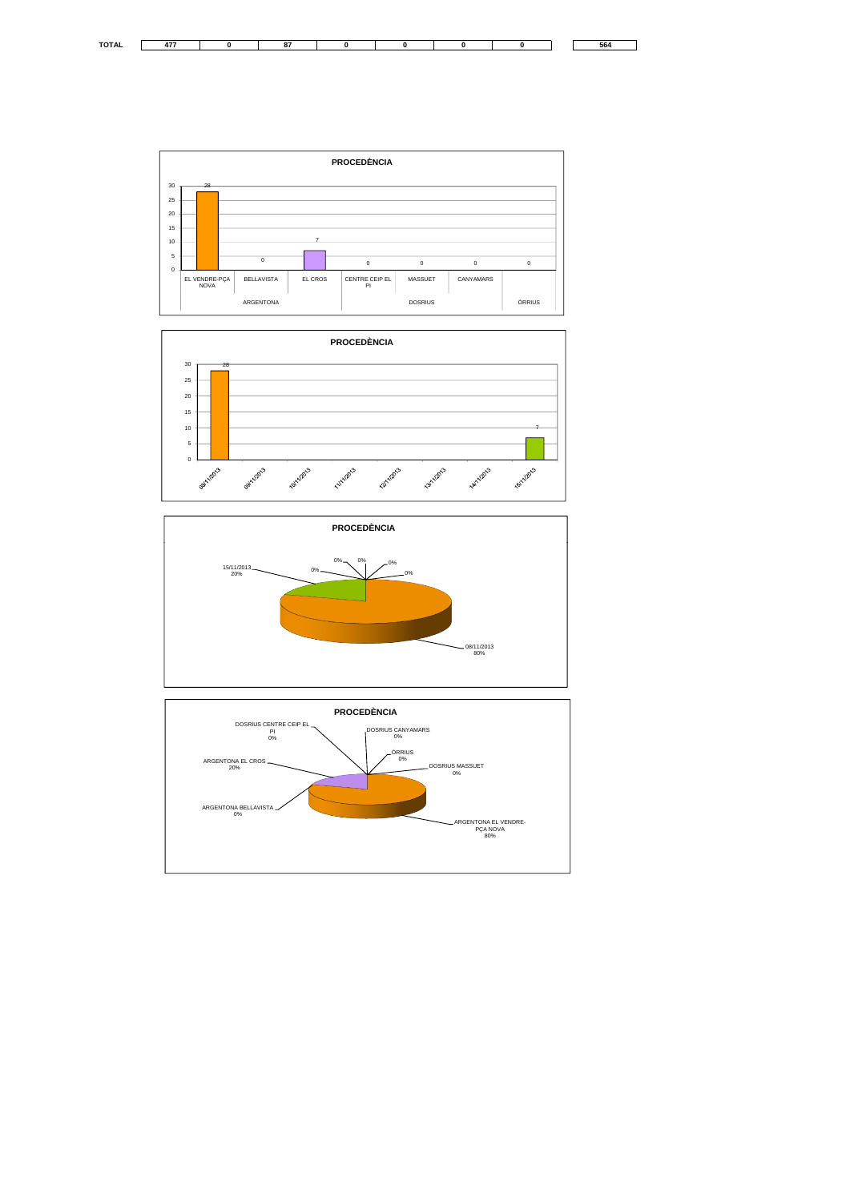







**TOTAL 477 0 87 0 0 0 0 564**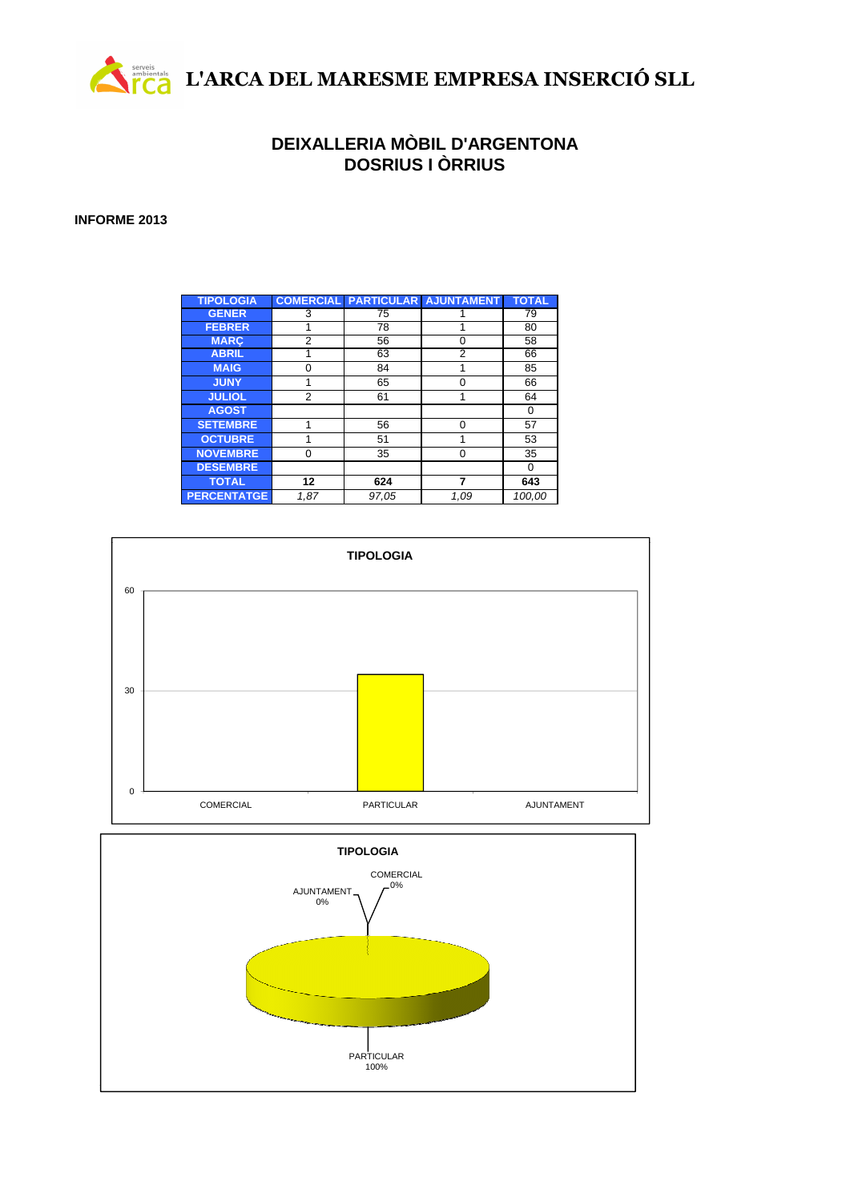

### **DEIXALLERIA MÒBIL D'ARGENTONA DOSRIUS I ÒRRIUS**

### **INFORME 2013**

| <b>TIPOLOGIA</b>   |          | <b>COMERCIAL PARTICULARI</b> | <b>AJUNTAMENT</b> | <b>TOTAL</b> |
|--------------------|----------|------------------------------|-------------------|--------------|
| <b>GENER</b>       | 3        | 75                           |                   | 79           |
| <b>FEBRER</b>      |          | 78                           |                   | 80           |
| <b>MARC</b>        | 2        | 56                           | 0                 | 58           |
| <b>ABRIL</b>       |          | 63                           | 2                 | 66           |
| <b>MAIG</b>        | $\Omega$ | 84                           | 1                 | 85           |
| <b>JUNY</b>        |          | 65                           | $\Omega$          | 66           |
| <b>JULIOL</b>      | 2        | 61                           | 1                 | 64           |
| <b>AGOST</b>       |          |                              |                   | 0            |
| <b>SETEMBRE</b>    | 1        | 56                           | $\Omega$          | 57           |
| <b>OCTUBRE</b>     |          | 51                           | 1                 | 53           |
| <b>NOVEMBRE</b>    | $\Omega$ | 35                           | $\Omega$          | 35           |
| <b>DESEMBRE</b>    |          |                              |                   | 0            |
| <b>TOTAL</b>       | 12       | 624                          | 7                 | 643          |
| <b>PERCENTATGE</b> | 1,87     | 97,05                        | 1.09              | 100,00       |



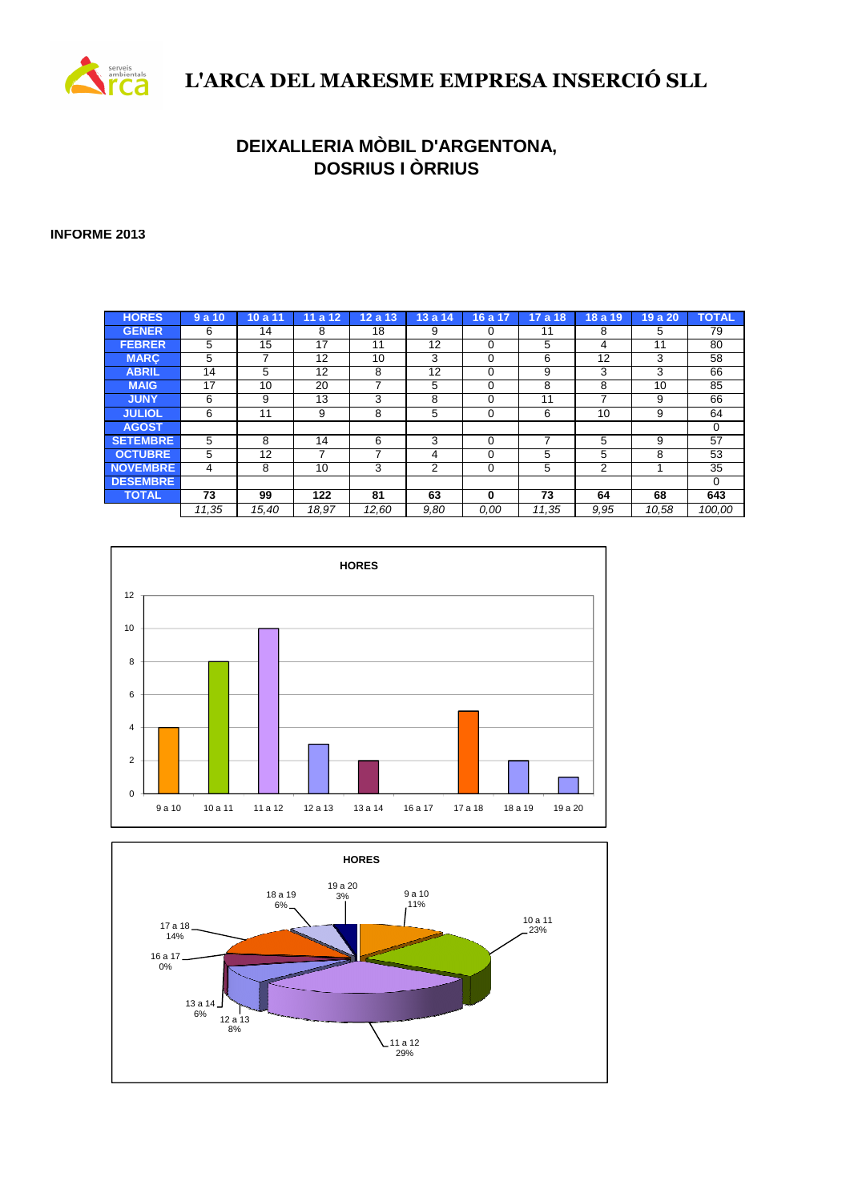

## **L'ARCA DEL MARESME EMPRESA INSERCIÓ SLL**

### **DEIXALLERIA MÒBIL D'ARGENTONA, DOSRIUS I ÒRRIUS**

### **INFORME 2013**

| <b>HORES</b>    | 9a10  | 10a11 | 12<br>11a | 12a<br>13 | 13a<br>14 | 17<br>16a | 17a18 | 18 a 19 | 19 a 20 | <b>TOTAL</b> |
|-----------------|-------|-------|-----------|-----------|-----------|-----------|-------|---------|---------|--------------|
| <b>GENER</b>    | 6     | 14    | 8         | 18        | 9         | 0         | 11    | 8       | 5       | 79           |
| <b>FEBRER</b>   | 5     | 15    | 17        | 11        | 12        | 0         | 5     | 4       | 11      | 80           |
| <b>MARC</b>     | 5     |       | 12        | 10        | 3         | 0         | 6     | 12      | 3       | 58           |
| <b>ABRIL</b>    | 14    | 5     | 12        | 8         | 12        | 0         | 9     | 3       | 3       | 66           |
| <b>MAIG</b>     | 17    | 10    | 20        |           | 5         | 0         | 8     | 8       | 10      | 85           |
| <b>JUNY</b>     | 6     | 9     | 13        | 3         | 8         | 0         | 11    | 7       | 9       | 66           |
| <b>JULIOL</b>   | 6     | 11    | 9         | 8         | 5         | 0         | 6     | 10      | 9       | 64           |
| <b>AGOST</b>    |       |       |           |           |           |           |       |         |         | $\Omega$     |
| <b>SETEMBRE</b> | 5     | 8     | 14        | 6         | 3         | 0         | ⇁     | 5       | 9       | 57           |
| <b>OCTUBRE</b>  | 5     | 12    |           |           | 4         | 0         | 5     | 5       | 8       | 53           |
| <b>NOVEMBRE</b> | 4     | 8     | 10        | 3         | 2         | 0         | 5     | 2       |         | 35           |
| <b>DESEMBRE</b> |       |       |           |           |           |           |       |         |         | $\Omega$     |
| <b>TOTAL</b>    | 73    | 99    | 122       | 81        | 63        | 0         | 73    | 64      | 68      | 643          |
|                 | 11.35 | 15.40 | 18.97     | 12,60     | 9,80      | 0.00      | 11,35 | 9.95    | 10.58   | 100.00       |



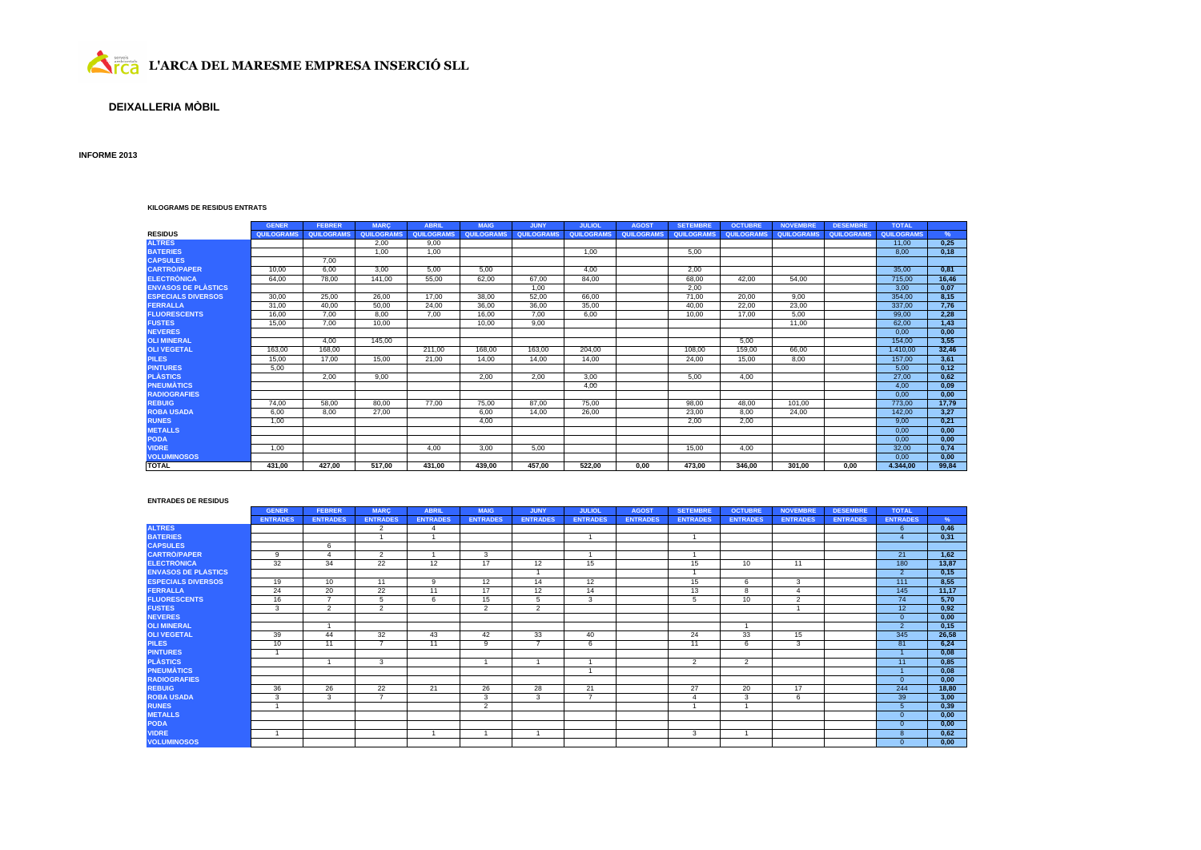

### **DEIXALLERIA MÒBIL**

### **INFORME 2013**

#### **KILOGRAMS DE RESIDUS ENTRATS**

|                            | <b>GENER</b> | <b>FEBRER</b>     | <b>MARC</b> | <b>ABRIL</b> | <b>MAIG</b>       | <b>JUNY</b> | <b>JULIOL</b> | <b>AGOST</b>      | <b>SETEMBRE</b> | <b>OCTUBRE</b> | <b>NOVEMBRE</b> | <b>DESEMBRE</b> | <b>TOTAL</b> |       |
|----------------------------|--------------|-------------------|-------------|--------------|-------------------|-------------|---------------|-------------------|-----------------|----------------|-----------------|-----------------|--------------|-------|
| <b>RESIDUS</b>             | QUILOGRAMS   | <b>QUILOGRAMS</b> | QUILOGRAMS  | QUILOGRAMS   | <b>QUILOGRAMS</b> | QUILOGRAMS  | QUILOGRAMS    | <b>QUILOGRAMS</b> | QUILOGRAMS      | QUILOGRAMS     | QUILOGRAMS      | QUILOGRAMS      | QUILOGRAMS   | %     |
| <b>ALTRES</b>              |              |                   | 2.00        | 9.00         |                   |             |               |                   |                 |                |                 |                 | 11.00        | 0.25  |
| <b>BATERIES</b>            |              |                   | 1.00        | 1.00         |                   |             | 1.00          |                   | 5.00            |                |                 |                 | 8.00         | 0.18  |
| <b>CÁPSULES</b>            |              | 7,00              |             |              |                   |             |               |                   |                 |                |                 |                 |              |       |
| <b>CARTRÓ/PAPER</b>        | 10.00        | 6.00              | 3.00        | 5.00         | 5.00              |             | 4.00          |                   | 2.00            |                |                 |                 | 35,00        | 0.81  |
| <b>ELECTRONICA</b>         | 64.00        | 78.00             | 141.00      | 55.00        | 62.00             | 67.00       | 84.00         |                   | 68.00           | 42.00          | 54.00           |                 | 715.00       | 16,46 |
| <b>ENVASOS DE PLÁSTICS</b> |              |                   |             |              |                   | 1,00        |               |                   | 2,00            |                |                 |                 | 3,00         | 0,07  |
| <b>ESPECIALS DIVERSOS</b>  | 30,00        | 25,00             | 26,00       | 17,00        | 38,00             | 52,00       | 66,00         |                   | 71,00           | 20,00          | 9.00            |                 | 354.00       | 8,15  |
| <b>FERRALLA</b>            | 31.00        | 40.00             | 50,00       | 24,00        | 36.00             | 36,00       | 35.00         |                   | 40.00           | 22.00          | 23.00           |                 | 337.00       | 7.76  |
| <b>FLUORESCENTS</b>        | 16,00        | 7,00              | 8,00        | 7,00         | 16,00             | 7,00        | 6,00          |                   | 10,00           | 17.00          | 5,00            |                 | 99,00        | 2,28  |
| <b>FUSTES</b>              | 15,00        | 7,00              | 10,00       |              | 10,00             | 9,00        |               |                   |                 |                | 11,00           |                 | 62,00        | 1,43  |
| <b>NEVERES</b>             |              |                   |             |              |                   |             |               |                   |                 |                |                 |                 | 0.00         | 0,00  |
| <b>OLI MINERAL</b>         |              | 4,00              | 145.00      |              |                   |             |               |                   |                 | 5,00           |                 |                 | 154.00       | 3,55  |
| <b>OLI VEGETAL</b>         | 163.00       | 168,00            |             | 211.00       | 168.00            | 163,00      | 204.00        |                   | 108.00          | 159,00         | 66,00           |                 | 1.410.00     | 32,46 |
| <b>PILES</b>               | 15.00        | 17.00             | 15.00       | 21.00        | 14.00             | 14.00       | 14.00         |                   | 24.00           | 15.00          | 8.00            |                 | 157.00       | 3,61  |
| <b>PINTURES</b>            | 5,00         |                   |             |              |                   |             |               |                   |                 |                |                 |                 | 5,00         | 0,12  |
| <b>PLÀSTICS</b>            |              | 2.00              | 9.00        |              | 2.00              | 2.00        | 3.00          |                   | 5.00            | 4.00           |                 |                 | 27,00        | 0.62  |
| <b>PNEUMATICS</b>          |              |                   |             |              |                   |             | 4.00          |                   |                 |                |                 |                 | 4.00         | 0.09  |
| <b>RADIOGRAFIES</b>        |              |                   |             |              |                   |             |               |                   |                 |                |                 |                 | 0.00         | 0,00  |
| <b>REBUIG</b>              | 74.00        | 58,00             | 80,00       | 77,00        | 75,00             | 87,00       | 75,00         |                   | 98,00           | 48,00          | 101,00          |                 | 773.00       | 17,79 |
| <b>ROBA USADA</b>          | 6.00         | 8.00              | 27,00       |              | 6.00              | 14.00       | 26.00         |                   | 23,00           | 8.00           | 24.00           |                 | 142.00       | 3.27  |
| <b>RUNES</b>               | 1,00         |                   |             |              | 4.00              |             |               |                   | 2.00            | 2.00           |                 |                 | 9.00         | 0.21  |
| <b>METALLS</b>             |              |                   |             |              |                   |             |               |                   |                 |                |                 |                 | 0.00         | 0.00  |
| <b>PODA</b>                |              |                   |             |              |                   |             |               |                   |                 |                |                 |                 | 0,00         | 0,00  |
| <b>VIDRE</b>               | 1.00         |                   |             | 4.00         | 3.00              | 5.00        |               |                   | 15.00           | 4.00           |                 |                 | 32.00        | 0.74  |
| <b>VOLUMINOSOS</b>         |              |                   |             |              |                   |             |               |                   |                 |                |                 |                 | 0.00         | 0,00  |
| <b>TOTAL</b>               | 431.00       | 427.00            | 517.00      | 431,00       | 439.00            | 457,00      | 522.00        | 0.00              | 473.00          | 346.00         | 301.00          | 0.00            | 4.344.00     | 99,84 |

#### **ENTRADES DE RESIDUS**

|                            | <b>GENER</b>    | <b>FEBRER</b>            | <b>MARC</b>     | <b>ABRIL</b>    | <b>MAIG</b>     | <b>JUNY</b>     | <b>JULIOL</b>   | <b>AGOST</b>    | <b>SETEMBRE</b> | <b>OCTUBRE</b>  | <b>NOVEMBRE</b> | <b>DESEMBRE</b> | <b>TOTAL</b>           |       |
|----------------------------|-----------------|--------------------------|-----------------|-----------------|-----------------|-----------------|-----------------|-----------------|-----------------|-----------------|-----------------|-----------------|------------------------|-------|
|                            | <b>ENTRADES</b> | <b>ENTRADES</b>          | <b>ENTRADES</b> | <b>ENTRADES</b> | <b>ENTRADES</b> | <b>ENTRADES</b> | <b>ENTRADES</b> | <b>ENTRADES</b> | <b>ENTRADES</b> | <b>ENTRADES</b> | <b>ENTRADES</b> | <b>ENTRADES</b> | <b>ENTRADES</b>        | $\%$  |
| <b>ALTRES</b>              |                 |                          | 2               | $\Delta$        |                 |                 |                 |                 |                 |                 |                 |                 | 6                      | 0,46  |
| <b>BATERIES</b>            |                 |                          |                 |                 |                 |                 |                 |                 |                 |                 |                 |                 | $\boldsymbol{\Lambda}$ | 0,31  |
| <b>CÀPSULES</b>            |                 | 6                        |                 |                 |                 |                 |                 |                 |                 |                 |                 |                 |                        |       |
| <b>CARTRÓ/PAPER</b>        | 9               | $\overline{\phantom{a}}$ | 2               |                 | 3               |                 |                 |                 |                 |                 |                 |                 | 21                     | 1.62  |
| <b>ELECTRONICA</b>         | 32              | 34                       | 22              | 12              | 17              | 12              | 15              |                 | 15              | 10              | 11              |                 | 180                    | 13,87 |
| <b>ENVASOS DE PLÀSTICS</b> |                 |                          |                 |                 |                 |                 |                 |                 |                 |                 |                 |                 | $2^{\circ}$            | 0,15  |
| <b>ESPECIALS DIVERSOS</b>  | 19              | 10                       | 11              | 9               | 12              | 14              | 12              |                 | 15              | 6               | 3               |                 | 111                    | 8,55  |
| <b>FERRALLA</b>            | 24              | 20                       | 22              | 11              | 17              | 12              | 14              |                 | 13              | 8               |                 |                 | 145                    | 11,17 |
| <b>FLUORESCENTS</b>        | 16              | $\overline{ }$           | 5               | 6               | 15              | 5               | 3               |                 | 5               | 10              | $\overline{2}$  |                 | 74                     | 5,70  |
| <b>FUSTES</b>              | 3               | $\overline{2}$           | 2               |                 | $\overline{2}$  | $\overline{2}$  |                 |                 |                 |                 |                 |                 | 12 <sup>2</sup>        | 0,92  |
| <b>NEVERES</b>             |                 |                          |                 |                 |                 |                 |                 |                 |                 |                 |                 |                 | $\Omega$               | 0,00  |
| <b>OLI MINERAL</b>         |                 |                          |                 |                 |                 |                 |                 |                 |                 |                 |                 |                 | $\Omega$               | 0,15  |
| <b>OLI VEGETAL</b>         | 39              | 44                       | 32              | 43              | 42              | 33              | 40              |                 | 24              | 33              | 15              |                 | 345                    | 26,58 |
| <b>PILES</b>               | 10              | 11                       | $\rightarrow$   | 11              | 9               | -               | 6               |                 | 11              | 6               | 3               |                 | 81                     | 6,24  |
| <b>PINTURES</b>            |                 |                          |                 |                 |                 |                 |                 |                 |                 |                 |                 |                 |                        | 0,08  |
| <b>PLÁSTICS</b>            |                 |                          | $\overline{3}$  |                 |                 |                 |                 |                 | 2               | $\overline{2}$  |                 |                 | 11                     | 0.85  |
| <b>PNEUMATICS</b>          |                 |                          |                 |                 |                 |                 |                 |                 |                 |                 |                 |                 |                        | 0,08  |
| <b>RADIOGRAFIES</b>        |                 |                          |                 |                 |                 |                 |                 |                 |                 |                 |                 |                 | $\Omega$               | 0.00  |
| <b>REBUIG</b>              | 36              | 26                       | 22              | 21              | 26              | 28              | 21              |                 | 27              | 20              | 17              |                 | 244                    | 18,80 |
| <b>ROBA USADA</b>          | 3               | 3                        | $\overline{ }$  |                 | 3               | 3               | $\overline{7}$  |                 |                 | 3               | 6               |                 | 39                     | 3,00  |
| <b>RUNES</b>               |                 |                          |                 |                 | $\overline{2}$  |                 |                 |                 |                 |                 |                 |                 |                        | 0,39  |
| <b>METALLS</b>             |                 |                          |                 |                 |                 |                 |                 |                 |                 |                 |                 |                 | $\Omega$               | 0.00  |
| <b>PODA</b>                |                 |                          |                 |                 |                 |                 |                 |                 |                 |                 |                 |                 | $\Omega$               | 0,00  |
| <b>VIDRE</b>               |                 |                          |                 |                 |                 |                 |                 |                 | 3               |                 |                 |                 |                        | 0,62  |
| <b>VOLUMINOSOS</b>         |                 |                          |                 |                 |                 |                 |                 |                 |                 |                 |                 |                 | $\Omega$               | 0,00  |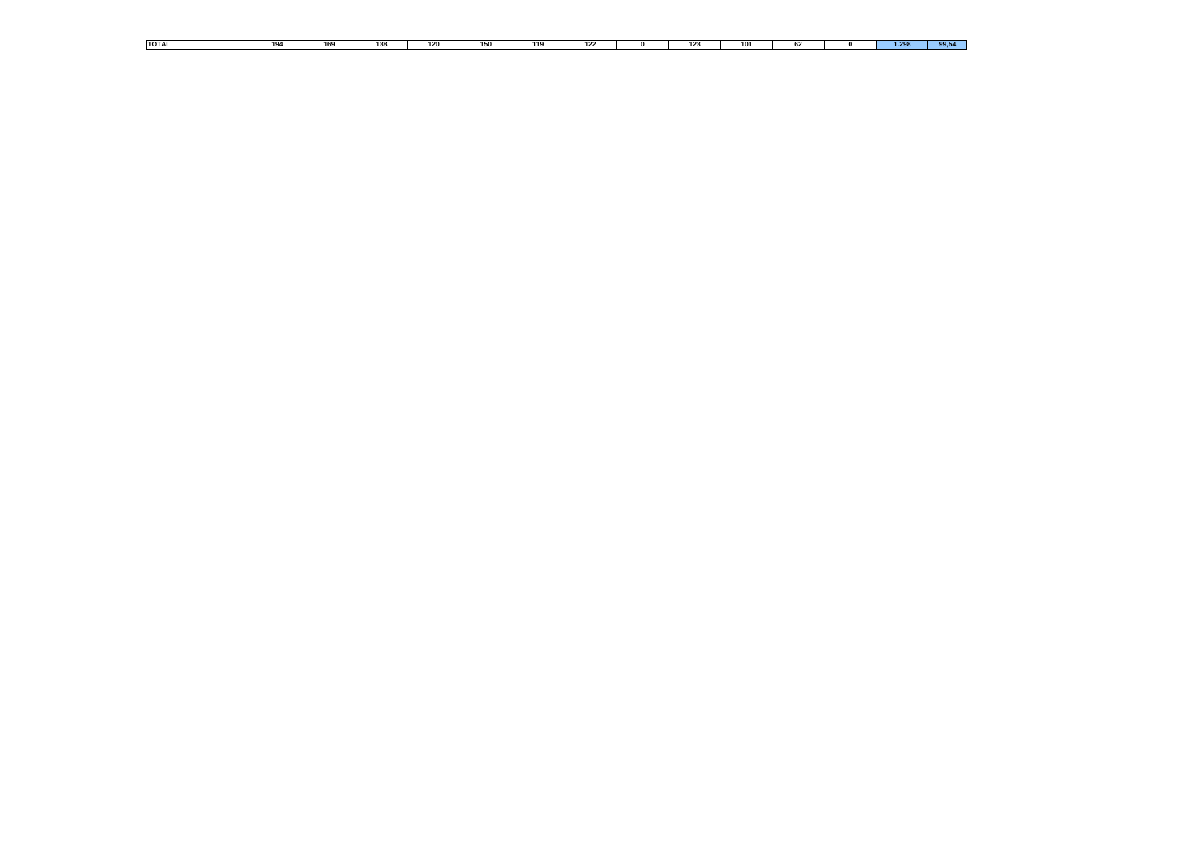| <b>TOTAL</b> | 194 | 169 | 138 | 120 | 150 | $\overline{\phantom{a}}$ | 122 | 123 | 101 | n, | 1.295 | $ -$<br>-99.9 |
|--------------|-----|-----|-----|-----|-----|--------------------------|-----|-----|-----|----|-------|---------------|